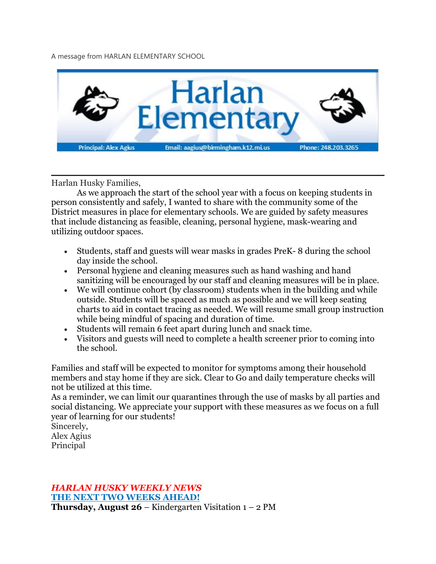A message from HARLAN ELEMENTARY SCHOOL



Harlan Husky Families,

As we approach the start of the school year with a focus on keeping students in person consistently and safely, I wanted to share with the community some of the District measures in place for elementary schools. We are guided by safety measures that include distancing as feasible, cleaning, personal hygiene, mask-wearing and utilizing outdoor spaces.

- Students, staff and guests will wear masks in grades PreK- 8 during the school day inside the school.
- Personal hygiene and cleaning measures such as hand washing and hand sanitizing will be encouraged by our staff and cleaning measures will be in place.
- We will continue cohort (by classroom) students when in the building and while outside. Students will be spaced as much as possible and we will keep seating charts to aid in contact tracing as needed. We will resume small group instruction while being mindful of spacing and duration of time.
- Students will remain 6 feet apart during lunch and snack time.
- Visitors and guests will need to complete a health screener prior to coming into the school.

Families and staff will be expected to monitor for symptoms among their household members and stay home if they are sick. Clear to Go and daily temperature checks will not be utilized at this time.

As a reminder, we can limit our quarantines through the use of masks by all parties and social distancing. We appreciate your support with these measures as we focus on a full year of learning for our students!

Sincerely, Alex Agius

Principal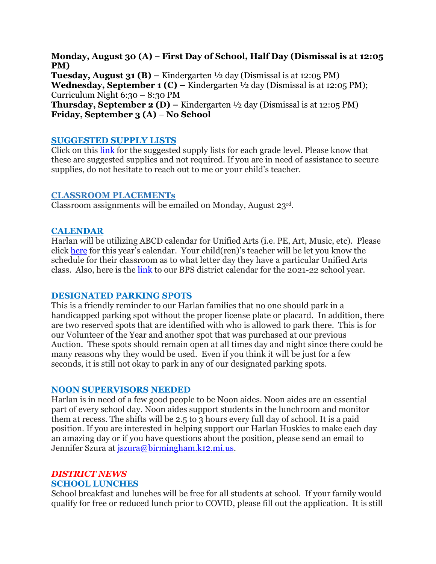**Monday, August 30 (A)** – **First Day of School, Half Day (Dismissal is at 12:05 PM) Tuesday, August 31 (B) –** Kindergarten ½ day (Dismissal is at 12:05 PM) **Wednesday, September 1 (C) –** Kindergarten ½ day (Dismissal is at 12:05 PM); Curriculum Night 6:30 – 8:30 PM **Thursday, September 2 (D) –** Kindergarten ½ day (Dismissal is at 12:05 PM) **Friday, September 3 (A)** – **No School**

### **SUGGESTED SUPPLY LISTS**

Click on this [link](https://www.birmingham.k12.mi.us/domain/2532) for the suggested supply lists for each grade level. Please know that these are suggested supplies and not required. If you are in need of assistance to secure supplies, do not hesitate to reach out to me or your child's teacher.

#### **CLASSROOM PLACEMENTs**

Classroom assignments will be emailed on Monday, August 23rd.

## **CALENDAR**

Harlan will be utilizing ABCD calendar for Unified Arts (i.e. PE, Art, Music, etc). Please click [here](https://drive.google.com/file/d/1Kzf42WPEsEEacL_NQ8YCqWIoQLHi9Afe/view?usp=sharing) for this year's calendar. Your child(ren)'s teacher will be let you know the schedule for their classroom as to what letter day they have a particular Unified Arts class. Also, here is the [link](https://drive.google.com/file/d/1QyZ5k9LSBKkfMKE3hDiSu1Q0IT317uin/view?usp=sharing) to our BPS district calendar for the 2021-22 school year.

#### **DESIGNATED PARKING SPOTS**

This is a friendly reminder to our Harlan families that no one should park in a handicapped parking spot without the proper license plate or placard. In addition, there are two reserved spots that are identified with who is allowed to park there. This is for our Volunteer of the Year and another spot that was purchased at our previous Auction. These spots should remain open at all times day and night since there could be many reasons why they would be used. Even if you think it will be just for a few seconds, it is still not okay to park in any of our designated parking spots.

#### **NOON SUPERVISORS NEEDED**

Harlan is in need of a few good people to be Noon aides. Noon aides are an essential part of every school day. Noon aides support students in the lunchroom and monitor them at recess. The shifts will be 2.5 to 3 hours every full day of school. It is a paid position. If you are interested in helping support our Harlan Huskies to make each day an amazing day or if you have questions about the position, please send an email to Jennifer Szura at *iszura@birmingham.k12.mi.us.* 

# *DISTRICT NEWS*

#### **SCHOOL LUNCHES**

School breakfast and lunches will be free for all students at school. If your family would qualify for free or reduced lunch prior to COVID, please fill out the application. It is still